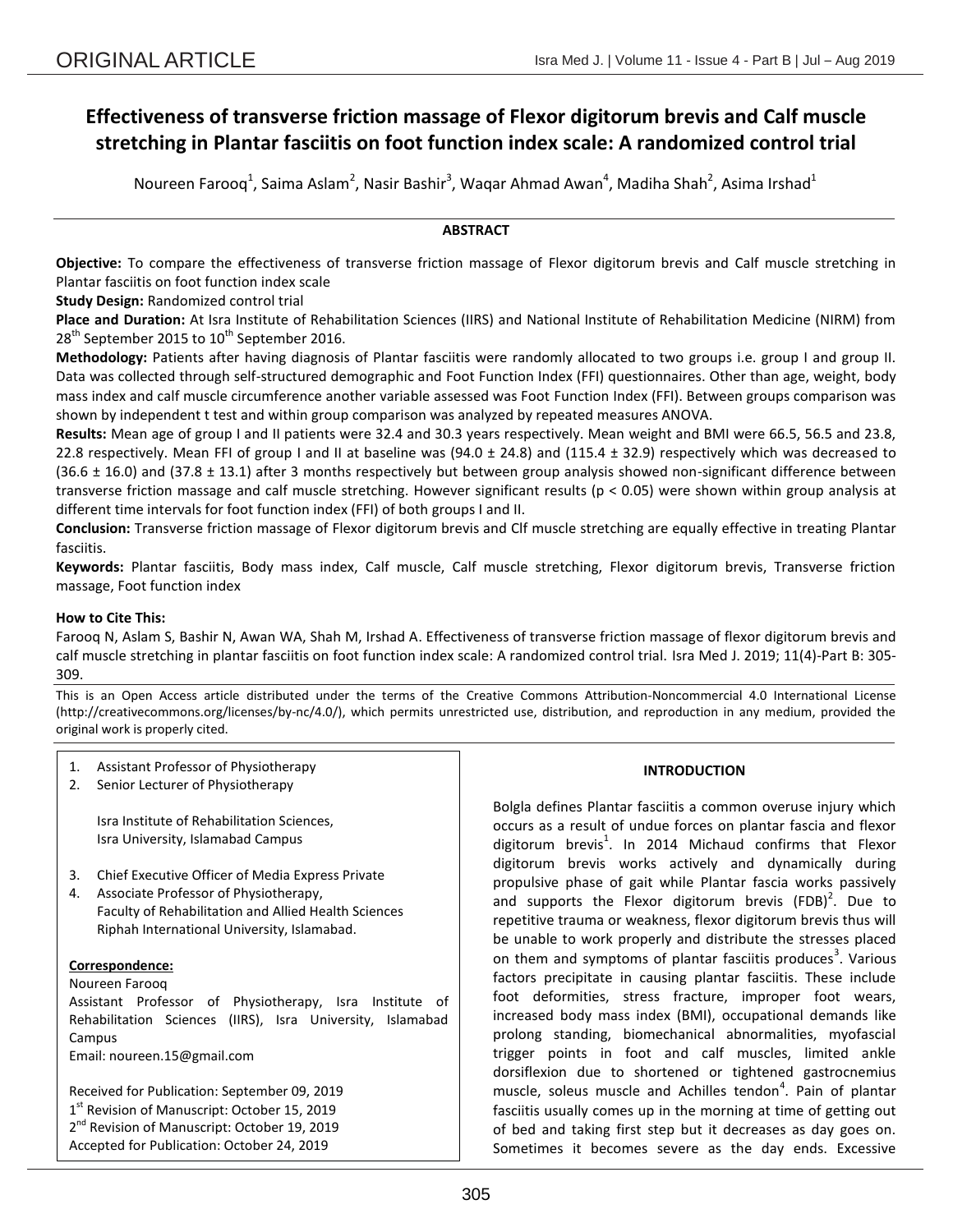# **Effectiveness of transverse friction massage of Flexor digitorum brevis and Calf muscle stretching in Plantar fasciitis on foot function index scale: A randomized control trial**

Noureen Farooq<sup>1</sup>, Saima Aslam<sup>2</sup>, Nasir Bashir<sup>3</sup>, Waqar Ahmad Awan<sup>4</sup>, Madiha Shah<sup>2</sup>, Asima Irshad<sup>1</sup>

# **ABSTRACT**

**Objective:** To compare the effectiveness of transverse friction massage of Flexor digitorum brevis and Calf muscle stretching in Plantar fasciitis on foot function index scale

**Study Design:** Randomized control trial

**Place and Duration:** At Isra Institute of Rehabilitation Sciences (IIRS) and National Institute of Rehabilitation Medicine (NIRM) from  $28<sup>th</sup>$  September 2015 to 10<sup>th</sup> September 2016.

**Methodology:** Patients after having diagnosis of Plantar fasciitis were randomly allocated to two groups i.e. group I and group II. Data was collected through self-structured demographic and Foot Function Index (FFI) questionnaires. Other than age, weight, body mass index and calf muscle circumference another variable assessed was Foot Function Index (FFI). Between groups comparison was shown by independent t test and within group comparison was analyzed by repeated measures ANOVA.

**Results:** Mean age of group I and II patients were 32.4 and 30.3 years respectively. Mean weight and BMI were 66.5, 56.5 and 23.8, 22.8 respectively. Mean FFI of group I and II at baseline was  $(94.0 \pm 24.8)$  and  $(115.4 \pm 32.9)$  respectively which was decreased to  $(36.6 \pm 16.0)$  and  $(37.8 \pm 13.1)$  after 3 months respectively but between group analysis showed non-significant difference between transverse friction massage and calf muscle stretching. However significant results (p < 0.05) were shown within group analysis at different time intervals for foot function index (FFI) of both groups I and II.

**Conclusion:** Transverse friction massage of Flexor digitorum brevis and Clf muscle stretching are equally effective in treating Plantar fasciitis.

**Keywords:** Plantar fasciitis, Body mass index, Calf muscle, Calf muscle stretching, Flexor digitorum brevis, Transverse friction massage, Foot function index

## **How to Cite This:**

Farooq N, Aslam S, Bashir N, Awan WA, Shah M, Irshad A. Effectiveness of transverse friction massage of flexor digitorum brevis and calf muscle stretching in plantar fasciitis on foot function index scale: A randomized control trial. Isra Med J. 2019; 11(4)-Part B: 305- 309.

This is an Open Access article distributed under the terms of the Creative Commons Attribution-Noncommercial 4.0 International License (http://creativecommons.org/licenses/by-nc/4.0/), which permits unrestricted use, distribution, and reproduction in any medium, provided the original work is properly cited.

- 1. Assistant Professor of Physiotherapy
- 2. Senior Lecturer of Physiotherapy

Isra Institute of Rehabilitation Sciences, Isra University, Islamabad Campus

- 3. Chief Executive Officer of Media Express Private
- 4. Associate Professor of Physiotherapy, Faculty of Rehabilitation and Allied Health Sciences Riphah International University, Islamabad.

# **Correspondence:**

Noureen Farooq

Assistant Professor of Physiotherapy, Isra Institute of Rehabilitation Sciences (IIRS), Isra University, Islamabad Campus

Email: noureen.15@gmail.com

Received for Publication: September 09, 2019 1<sup>st</sup> Revision of Manuscript: October 15, 2019 2<sup>nd</sup> Revision of Manuscript: October 19, 2019 Accepted for Publication: October 24, 2019

## **INTRODUCTION**

Bolgla defines Plantar fasciitis a common overuse injury which occurs as a result of undue forces on plantar fascia and flexor digitorum brevis<sup>1</sup>. In 2014 Michaud confirms that Flexor digitorum brevis works actively and dynamically during propulsive phase of gait while Plantar fascia works passively and supports the Flexor digitorum brevis (FDB)<sup>2</sup>. Due to repetitive trauma or weakness, flexor digitorum brevis thus will be unable to work properly and distribute the stresses placed on them and symptoms of plantar fasciitis produces<sup>3</sup>. Various factors precipitate in causing plantar fasciitis. These include foot deformities, stress fracture, improper foot wears, increased body mass index (BMI), occupational demands like prolong standing, biomechanical abnormalities, myofascial trigger points in foot and calf muscles, limited ankle dorsiflexion due to shortened or tightened gastrocnemius muscle, soleus muscle and Achilles tendon<sup>4</sup>. Pain of plantar fasciitis usually comes up in the morning at time of getting out of bed and taking first step but it decreases as day goes on. Sometimes it becomes severe as the day ends. Excessive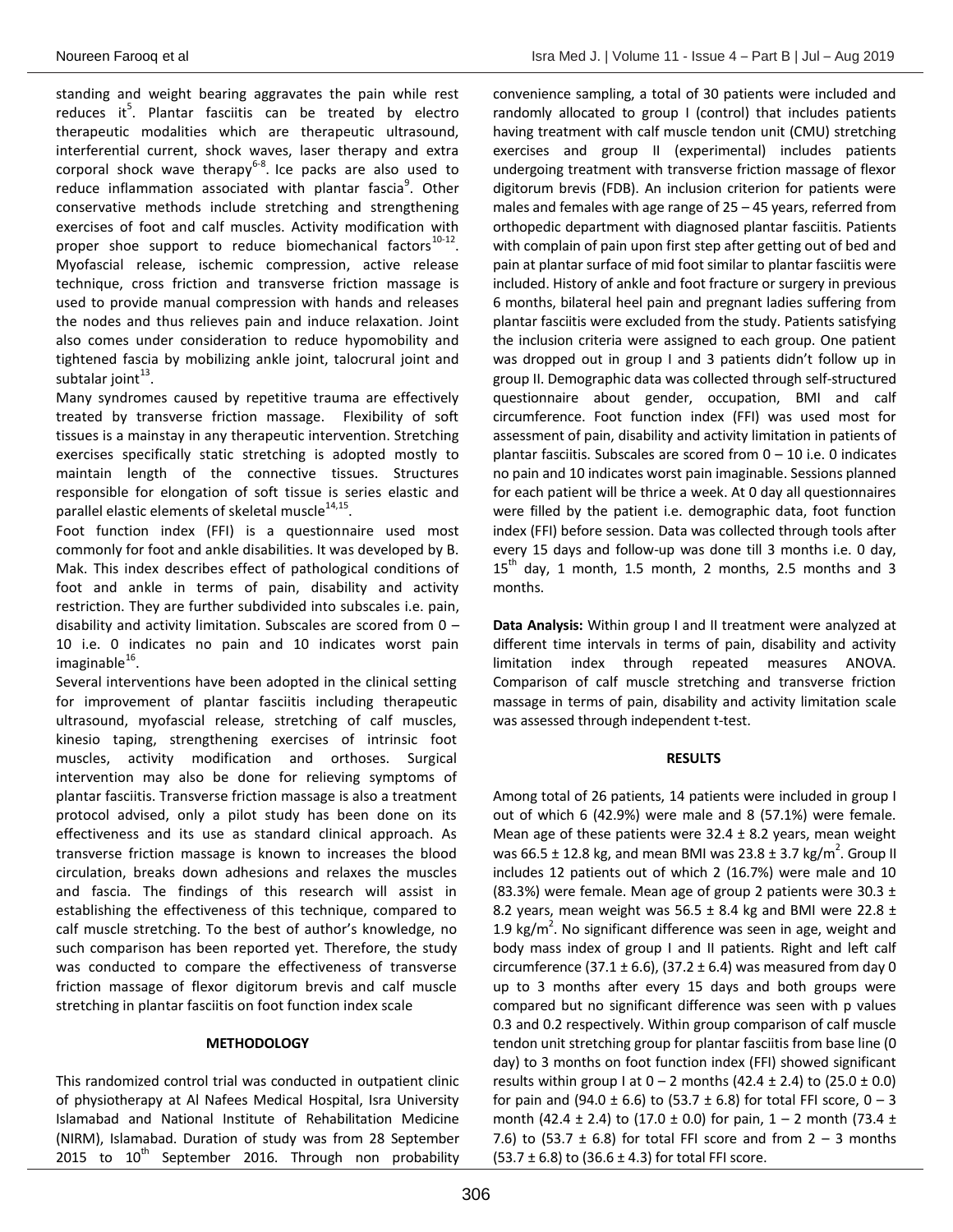standing and weight bearing aggravates the pain while rest reduces it $^5$ . Plantar fasciitis can be treated by electro therapeutic modalities which are therapeutic ultrasound, interferential current, shock waves, laser therapy and extra corporal shock wave therapy<sup>6-8</sup>. Ice packs are also used to reduce inflammation associated with plantar fascia<sup>9</sup>. Other conservative methods include stretching and strengthening exercises of foot and calf muscles. Activity modification with proper shoe support to reduce biomechanical factors $^{10-12}$ . Myofascial release, ischemic compression, active release technique, cross friction and transverse friction massage is used to provide manual compression with hands and releases the nodes and thus relieves pain and induce relaxation. Joint also comes under consideration to reduce hypomobility and tightened fascia by mobilizing ankle joint, talocrural joint and subtalar joint $^{13}$ .

Many syndromes caused by repetitive trauma are effectively treated by transverse friction massage. Flexibility of soft tissues is a mainstay in any therapeutic intervention. Stretching exercises specifically static stretching is adopted mostly to maintain length of the connective tissues. Structures responsible for elongation of soft tissue is series elastic and parallel elastic elements of skeletal muscle $^{14,15}$ .

Foot function index (FFI) is a questionnaire used most commonly for foot and ankle disabilities. It was developed by B. Mak. This index describes effect of pathological conditions of foot and ankle in terms of pain, disability and activity restriction. They are further subdivided into subscales i.e. pain, disability and activity limitation. Subscales are scored from 0 – 10 i.e. 0 indicates no pain and 10 indicates worst pain imaginable<sup>16</sup>.

Several interventions have been adopted in the clinical setting for improvement of plantar fasciitis including therapeutic ultrasound, myofascial release, stretching of calf muscles, kinesio taping, strengthening exercises of intrinsic foot muscles, activity modification and orthoses. Surgical intervention may also be done for relieving symptoms of plantar fasciitis. Transverse friction massage is also a treatment protocol advised, only a pilot study has been done on its effectiveness and its use as standard clinical approach. As transverse friction massage is known to increases the blood circulation, breaks down adhesions and relaxes the muscles and fascia. The findings of this research will assist in establishing the effectiveness of this technique, compared to calf muscle stretching. To the best of author's knowledge, no such comparison has been reported yet. Therefore, the study was conducted to compare the effectiveness of transverse friction massage of flexor digitorum brevis and calf muscle stretching in plantar fasciitis on foot function index scale

## **METHODOLOGY**

This randomized control trial was conducted in outpatient clinic of physiotherapy at Al Nafees Medical Hospital, Isra University Islamabad and National Institute of Rehabilitation Medicine (NIRM), Islamabad. Duration of study was from 28 September 2015 to  $10^{th}$  September 2016. Through non probability convenience sampling, a total of 30 patients were included and randomly allocated to group I (control) that includes patients having treatment with calf muscle tendon unit (CMU) stretching exercises and group II (experimental) includes patients undergoing treatment with transverse friction massage of flexor digitorum brevis (FDB). An inclusion criterion for patients were males and females with age range of 25 – 45 years, referred from orthopedic department with diagnosed plantar fasciitis. Patients with complain of pain upon first step after getting out of bed and pain at plantar surface of mid foot similar to plantar fasciitis were included. History of ankle and foot fracture or surgery in previous 6 months, bilateral heel pain and pregnant ladies suffering from plantar fasciitis were excluded from the study. Patients satisfying the inclusion criteria were assigned to each group. One patient was dropped out in group I and 3 patients didn't follow up in group II. Demographic data was collected through self-structured questionnaire about gender, occupation, BMI and calf circumference. Foot function index (FFI) was used most for assessment of pain, disability and activity limitation in patients of plantar fasciitis. Subscales are scored from  $0 - 10$  i.e. 0 indicates no pain and 10 indicates worst pain imaginable. Sessions planned for each patient will be thrice a week. At 0 day all questionnaires were filled by the patient i.e. demographic data, foot function index (FFI) before session. Data was collected through tools after every 15 days and follow-up was done till 3 months i.e. 0 day,  $15<sup>th</sup>$  day, 1 month, 1.5 month, 2 months, 2.5 months and 3 months.

**Data Analysis:** Within group I and II treatment were analyzed at different time intervals in terms of pain, disability and activity limitation index through repeated measures ANOVA. Comparison of calf muscle stretching and transverse friction massage in terms of pain, disability and activity limitation scale was assessed through independent t-test.

## **RESULTS**

Among total of 26 patients, 14 patients were included in group I out of which 6 (42.9%) were male and 8 (57.1%) were female. Mean age of these patients were  $32.4 \pm 8.2$  years, mean weight was 66.5  $\pm$  12.8 kg, and mean BMI was 23.8  $\pm$  3.7 kg/m<sup>2</sup>. Group II includes 12 patients out of which 2 (16.7%) were male and 10 (83.3%) were female. Mean age of group 2 patients were 30.3  $\pm$ 8.2 years, mean weight was  $56.5 \pm 8.4$  kg and BMI were 22.8  $\pm$ 1.9 kg/ $m^2$ . No significant difference was seen in age, weight and body mass index of group I and II patients. Right and left calf circumference (37.1  $\pm$  6.6), (37.2  $\pm$  6.4) was measured from day 0 up to 3 months after every 15 days and both groups were compared but no significant difference was seen with p values 0.3 and 0.2 respectively. Within group comparison of calf muscle tendon unit stretching group for plantar fasciitis from base line (0 day) to 3 months on foot function index (FFI) showed significant results within group I at  $0 - 2$  months (42.4  $\pm$  2.4) to (25.0  $\pm$  0.0) for pain and (94.0  $\pm$  6.6) to (53.7  $\pm$  6.8) for total FFI score, 0 – 3 month (42.4  $\pm$  2.4) to (17.0  $\pm$  0.0) for pain, 1 – 2 month (73.4  $\pm$ 7.6) to (53.7  $\pm$  6.8) for total FFI score and from 2 - 3 months  $(53.7 \pm 6.8)$  to  $(36.6 \pm 4.3)$  for total FFI score.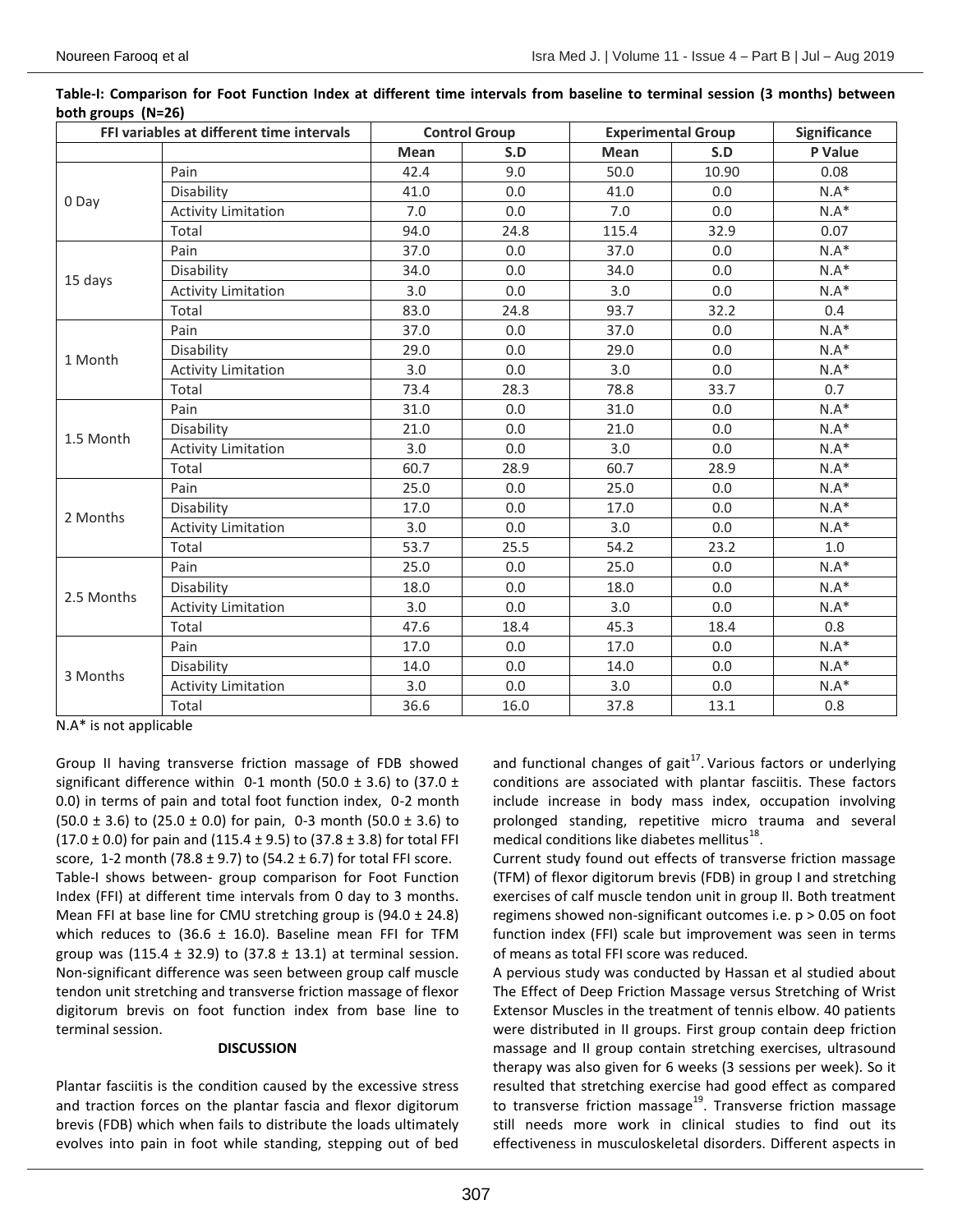| FFI variables at different time intervals |                            | <b>Control Group</b> |      | <b>Experimental Group</b> |       | Significance |
|-------------------------------------------|----------------------------|----------------------|------|---------------------------|-------|--------------|
|                                           |                            | Mean                 | S.D  | <b>Mean</b>               | S.D   | P Value      |
| 0 Day                                     | Pain                       | 42.4                 | 9.0  | 50.0                      | 10.90 | 0.08         |
|                                           | Disability                 | 41.0                 | 0.0  | 41.0                      | 0.0   | $N.A*$       |
|                                           | <b>Activity Limitation</b> | 7.0                  | 0.0  | 7.0                       | 0.0   | $N.A*$       |
|                                           | Total                      | 94.0                 | 24.8 | 115.4                     | 32.9  | 0.07         |
| 15 days                                   | Pain                       | 37.0                 | 0.0  | 37.0                      | 0.0   | $N.A*$       |
|                                           | Disability                 | 34.0                 | 0.0  | 34.0                      | 0.0   | $N.A*$       |
|                                           | <b>Activity Limitation</b> | 3.0                  | 0.0  | 3.0                       | 0.0   | $N.A*$       |
|                                           | Total                      | 83.0                 | 24.8 | 93.7                      | 32.2  | 0.4          |
| 1 Month                                   | Pain                       | 37.0                 | 0.0  | 37.0                      | 0.0   | $N.A*$       |
|                                           | Disability                 | 29.0                 | 0.0  | 29.0                      | 0.0   | $N.A*$       |
|                                           | <b>Activity Limitation</b> | 3.0                  | 0.0  | 3.0                       | 0.0   | $N.A*$       |
|                                           | Total                      | 73.4                 | 28.3 | 78.8                      | 33.7  | 0.7          |
| 1.5 Month                                 | Pain                       | 31.0                 | 0.0  | 31.0                      | 0.0   | $N.A*$       |
|                                           | Disability                 | 21.0                 | 0.0  | 21.0                      | 0.0   | $N.A*$       |
|                                           | <b>Activity Limitation</b> | 3.0                  | 0.0  | 3.0                       | 0.0   | $N.A*$       |
|                                           | Total                      | 60.7                 | 28.9 | 60.7                      | 28.9  | $N.A*$       |
| 2 Months                                  | Pain                       | 25.0                 | 0.0  | 25.0                      | 0.0   | $N.A*$       |
|                                           | Disability                 | 17.0                 | 0.0  | 17.0                      | 0.0   | $N.A*$       |
|                                           | <b>Activity Limitation</b> | 3.0                  | 0.0  | 3.0                       | 0.0   | $N.A*$       |
|                                           | Total                      | 53.7                 | 25.5 | 54.2                      | 23.2  | 1.0          |
| 2.5 Months                                | Pain                       | 25.0                 | 0.0  | 25.0                      | 0.0   | $N.A*$       |
|                                           | Disability                 | 18.0                 | 0.0  | 18.0                      | 0.0   | $N.A*$       |
|                                           | <b>Activity Limitation</b> | 3.0                  | 0.0  | 3.0                       | 0.0   | $N.A*$       |
|                                           | Total                      | 47.6                 | 18.4 | 45.3                      | 18.4  | 0.8          |
| 3 Months                                  | Pain                       | 17.0                 | 0.0  | 17.0                      | 0.0   | $N.A*$       |
|                                           | Disability                 | 14.0                 | 0.0  | 14.0                      | 0.0   | $N.A*$       |
|                                           | <b>Activity Limitation</b> | 3.0                  | 0.0  | 3.0                       | 0.0   | $N.A*$       |
|                                           | Total                      | 36.6                 | 16.0 | 37.8                      | 13.1  | 0.8          |

**Table-I: Comparison for Foot Function Index at different time intervals from baseline to terminal session (3 months) between both groups (N=26)**

N.A\* is not applicable

Group II having transverse friction massage of FDB showed significant difference within 0-1 month (50.0  $\pm$  3.6) to (37.0  $\pm$ 0.0) in terms of pain and total foot function index, 0-2 month  $(50.0 \pm 3.6)$  to  $(25.0 \pm 0.0)$  for pain, 0-3 month  $(50.0 \pm 3.6)$  to  $(17.0 \pm 0.0)$  for pain and  $(115.4 \pm 9.5)$  to  $(37.8 \pm 3.8)$  for total FFI score, 1-2 month (78.8  $\pm$  9.7) to (54.2  $\pm$  6.7) for total FFI score. Table-I shows between- group comparison for Foot Function Index (FFI) at different time intervals from 0 day to 3 months. Mean FFI at base line for CMU stretching group is  $(94.0 \pm 24.8)$ which reduces to (36.6  $\pm$  16.0). Baseline mean FFI for TFM group was (115.4  $\pm$  32.9) to (37.8  $\pm$  13.1) at terminal session. Non-significant difference was seen between group calf muscle tendon unit stretching and transverse friction massage of flexor digitorum brevis on foot function index from base line to terminal session.

#### **DISCUSSION**

Plantar fasciitis is the condition caused by the excessive stress and traction forces on the plantar fascia and flexor digitorum brevis (FDB) which when fails to distribute the loads ultimately evolves into pain in foot while standing, stepping out of bed

and functional changes of gait $^{17}$ . Various factors or underlying conditions are associated with plantar fasciitis. These factors include increase in body mass index, occupation involving prolonged standing, repetitive micro trauma and several medical conditions like diabetes mellitus $^{18}$ .

Current study found out effects of transverse friction massage (TFM) of flexor digitorum brevis (FDB) in group I and stretching exercises of calf muscle tendon unit in group II. Both treatment regimens showed non-significant outcomes i.e. p > 0.05 on foot function index (FFI) scale but improvement was seen in terms of means as total FFI score was reduced.

A pervious study was conducted by Hassan et al studied about The Effect of Deep Friction Massage versus Stretching of Wrist Extensor Muscles in the treatment of tennis elbow. 40 patients were distributed in II groups. First group contain deep friction massage and II group contain stretching exercises, ultrasound therapy was also given for 6 weeks (3 sessions per week). So it resulted that stretching exercise had good effect as compared to transverse friction massage<sup>19</sup>. Transverse friction massage still needs more work in clinical studies to find out its effectiveness in musculoskeletal disorders. Different aspects in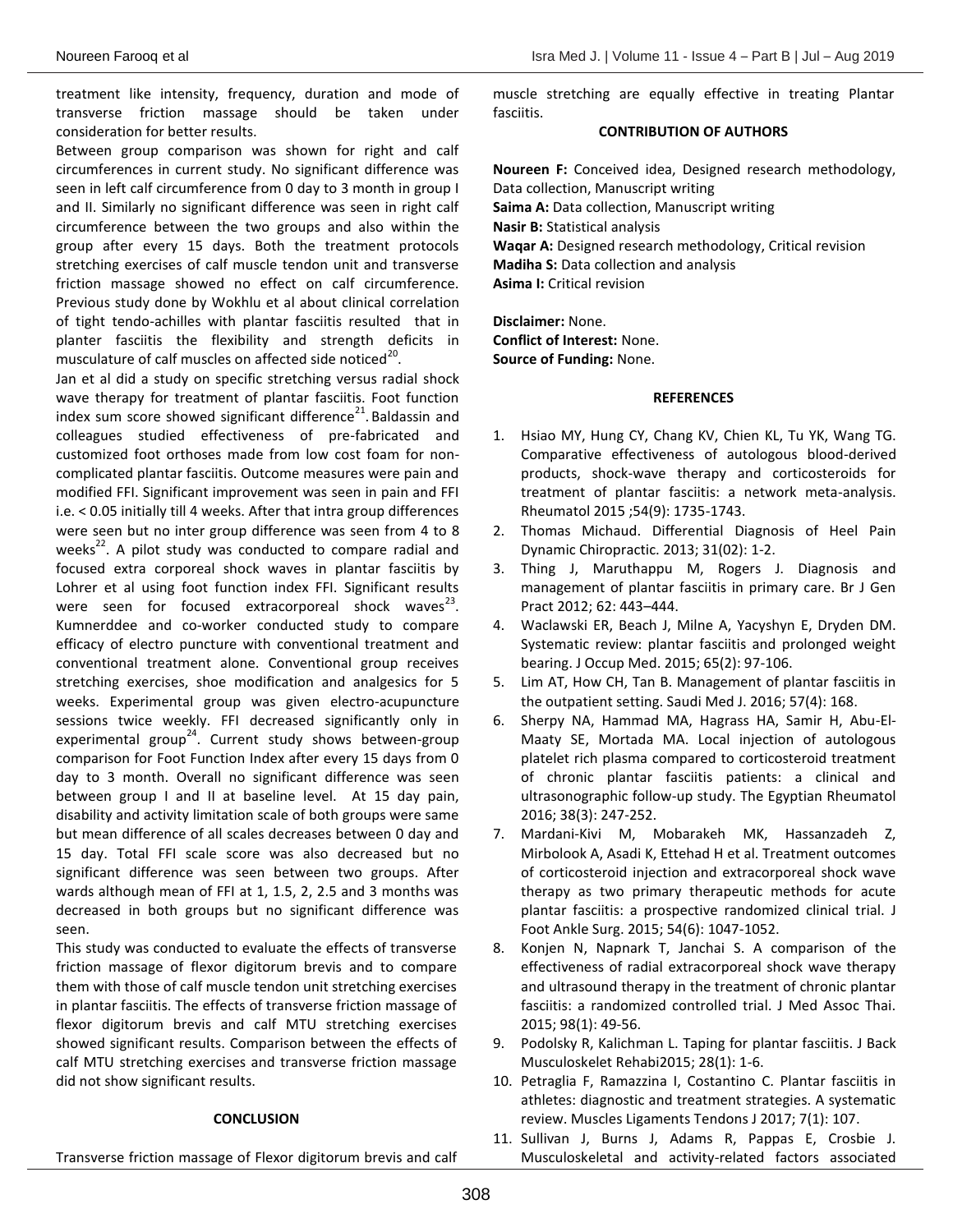treatment like intensity, frequency, duration and mode of transverse friction massage should be taken under consideration for better results.

Between group comparison was shown for right and calf circumferences in current study. No significant difference was seen in left calf circumference from 0 day to 3 month in group I and II. Similarly no significant difference was seen in right calf circumference between the two groups and also within the group after every 15 days. Both the treatment protocols stretching exercises of calf muscle tendon unit and transverse friction massage showed no effect on calf circumference. Previous study done by Wokhlu et al about clinical correlation of tight tendo-achilles with plantar fasciitis resulted that in planter fasciitis the flexibility and strength deficits in musculature of calf muscles on affected side noticed<sup>20</sup>.

Jan et al did a study on specific stretching versus radial shock wave therapy for treatment of plantar fasciitis. Foot function index sum score showed significant difference $^{21}$ . Baldassin and colleagues studied effectiveness of pre-fabricated and customized foot orthoses made from low cost foam for noncomplicated plantar fasciitis. Outcome measures were pain and modified FFI. Significant improvement was seen in pain and FFI i.e. < 0.05 initially till 4 weeks. After that intra group differences were seen but no inter group difference was seen from 4 to 8 weeks $^{22}$ . A pilot study was conducted to compare radial and focused extra corporeal shock waves in plantar fasciitis by Lohrer et al using foot function index FFI. Significant results were seen for focused extracorporeal shock waves $^{23}$ . Kumnerddee and co-worker conducted study to compare efficacy of electro puncture with conventional treatment and conventional treatment alone. Conventional group receives stretching exercises, shoe modification and analgesics for 5 weeks. Experimental group was given electro-acupuncture sessions twice weekly. FFI decreased significantly only in experimental group<sup>24</sup>. Current study shows between-group comparison for Foot Function Index after every 15 days from 0 day to 3 month. Overall no significant difference was seen between group I and II at baseline level. At 15 day pain, disability and activity limitation scale of both groups were same but mean difference of all scales decreases between 0 day and 15 day. Total FFI scale score was also decreased but no significant difference was seen between two groups. After wards although mean of FFI at 1, 1.5, 2, 2.5 and 3 months was decreased in both groups but no significant difference was seen.

This study was conducted to evaluate the effects of transverse friction massage of flexor digitorum brevis and to compare them with those of calf muscle tendon unit stretching exercises in plantar fasciitis. The effects of transverse friction massage of flexor digitorum brevis and calf MTU stretching exercises showed significant results. Comparison between the effects of calf MTU stretching exercises and transverse friction massage did not show significant results.

#### **CONCLUSION**

Transverse friction massage of Flexor digitorum brevis and calf

muscle stretching are equally effective in treating Plantar fasciitis.

### **CONTRIBUTION OF AUTHORS**

**Noureen F:** Conceived idea, Designed research methodology, Data collection, Manuscript writing **Saima A:** Data collection, Manuscript writing **Nasir B:** Statistical analysis **Waqar A:** Designed research methodology, Critical revision **Madiha S:** Data collection and analysis **Asima I:** Critical revision

**Disclaimer:** None. **Conflict of Interest:** None. **Source of Funding:** None.

#### **REFERENCES**

- 1. Hsiao MY, Hung CY, Chang KV, Chien KL, Tu YK, Wang TG. Comparative effectiveness of autologous blood-derived products, shock-wave therapy and corticosteroids for treatment of plantar fasciitis: a network meta-analysis. Rheumatol 2015 ;54(9): 1735-1743.
- 2. Thomas Michaud. Differential Diagnosis of Heel Pain Dynamic Chiropractic. 2013; 31(02): 1-2.
- 3. Thing J, Maruthappu M, Rogers J. Diagnosis and management of plantar fasciitis in primary care. Br J Gen Pract 2012; 62: 443–444.
- 4. Waclawski ER, Beach J, Milne A, Yacyshyn E, Dryden DM. Systematic review: plantar fasciitis and prolonged weight bearing. J Occup Med. 2015; 65(2): 97-106.
- 5. Lim AT, How CH, Tan B. Management of plantar fasciitis in the outpatient setting. Saudi Med J. 2016; 57(4): 168.
- 6. Sherpy NA, Hammad MA, Hagrass HA, Samir H, Abu-El-Maaty SE, Mortada MA. Local injection of autologous platelet rich plasma compared to corticosteroid treatment of chronic plantar fasciitis patients: a clinical and ultrasonographic follow-up study. The Egyptian Rheumatol 2016; 38(3): 247-252.
- 7. Mardani-Kivi M, Mobarakeh MK, Hassanzadeh Z, Mirbolook A, Asadi K, Ettehad H et al. Treatment outcomes of corticosteroid injection and extracorporeal shock wave therapy as two primary therapeutic methods for acute plantar fasciitis: a prospective randomized clinical trial. J Foot Ankle Surg. 2015; 54(6): 1047-1052.
- 8. Konjen N, Napnark T, Janchai S. A comparison of the effectiveness of radial extracorporeal shock wave therapy and ultrasound therapy in the treatment of chronic plantar fasciitis: a randomized controlled trial. J Med Assoc Thai. 2015; 98(1): 49-56.
- 9. Podolsky R, Kalichman L. Taping for plantar fasciitis. J Back Musculoskelet Rehabi2015; 28(1): 1-6.
- 10. Petraglia F, Ramazzina I, Costantino C. Plantar fasciitis in athletes: diagnostic and treatment strategies. A systematic review. Muscles Ligaments Tendons J 2017; 7(1): 107.
- 11. Sullivan J, Burns J, Adams R, Pappas E, Crosbie J. Musculoskeletal and activity-related factors associated